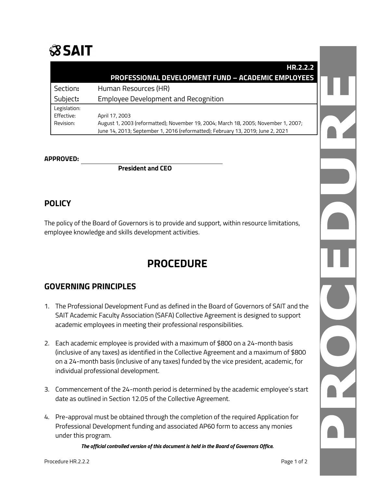# $$S$  $S$  $A$ IT

|              | HR.2.2.2                                                                                                                                                              |  |
|--------------|-----------------------------------------------------------------------------------------------------------------------------------------------------------------------|--|
|              | <b>PROFESSIONAL DEVELOPMENT FUND - ACADEMIC EMPLOYEES</b>                                                                                                             |  |
| Section:     | Human Resources (HR)                                                                                                                                                  |  |
| Subject:     | <b>Employee Development and Recognition</b>                                                                                                                           |  |
| Legislation: |                                                                                                                                                                       |  |
| Effective:   | April 17, 2003                                                                                                                                                        |  |
| Revision:    | August 1, 2003 (reformatted); November 19, 2004; March 18, 2005; November 1, 2007;<br>June 14, 2013; September 1, 2016 (reformatted); February 13, 2019; June 2, 2021 |  |

#### **APPROVED:**

**President and CEO**

# **POLICY**

The policy of the Board of Governors is to provide and support, within resource limitations, employee knowledge and skills development activities.

# **PROCEDURE**

# **GOVERNING PRINCIPLES**

- 1. The Professional Development Fund as defined in the Board of Governors of SAIT and the SAIT Academic Faculty Association (SAFA) Collective Agreement is designed to support academic employees in meeting their professional responsibilities.
- 2. Each academic employee is provided with a maximum of \$800 on a 24-month basis (inclusive of any taxes) as identified in the Collective Agreement and a maximum of \$800 on a 24-month basis (inclusive of any taxes) funded by the vice president, academic, for individual professional development.
- 3. Commencement of the 24-month period is determined by the academic employee's start date as outlined in Section 12.05 of the Collective Agreement.
- 4. Pre-approval must be obtained through the completion of the required Application for Professional Development funding and associated AP60 form to access any monies under this program.

*The official controlled version of this document is held in the Board of Governors Office.*